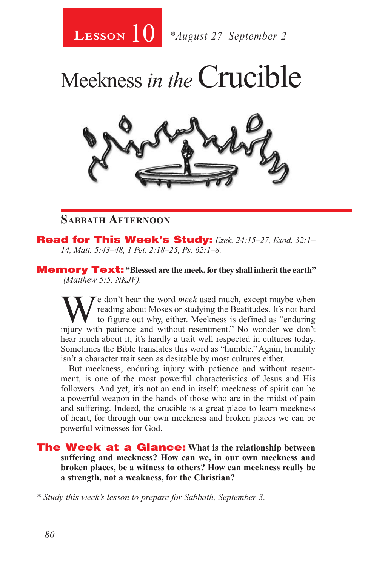

# Meekness *in the*Crucible



#### **Sabbath Afternoon**

Read for This Week's Study: *Ezek. 24:15–27, Exod. 32:1– 14, Matt. 5:43–48, 1 Pet. 2:18–25, Ps. 62:1–8.*

Memory Text: **"Blessed are the meek, for they shall inherit the earth"**  *(Matthew 5:5, NKJV).* 

We don't hear the word *meek* used much, except maybe when<br>to figure out why, either. Meekness is defined as "enduring<br>injury with patience and without recentment". No wonder we don't reading about Moses or studying the Beatitudes. It's not hard to figure out why, either. Meekness is defined as "enduring injury with patience and without resentment." No wonder we don't hear much about it; it's hardly a trait well respected in cultures today. Sometimes the Bible translates this word as "humble." Again, humility isn't a character trait seen as desirable by most cultures either.

But meekness, enduring injury with patience and without resentment, is one of the most powerful characteristics of Jesus and His followers. And yet, it's not an end in itself: meekness of spirit can be a powerful weapon in the hands of those who are in the midst of pain and suffering. Indeed, the crucible is a great place to learn meekness of heart, for through our own meekness and broken places we can be powerful witnesses for God.

The Week at a Glance: **What is the relationship between suffering and meekness? How can we, in our own meekness and broken places, be a witness to others? How can meekness really be a strength, not a weakness, for the Christian?** 

*\* Study this week's lesson to prepare for Sabbath, September 3.*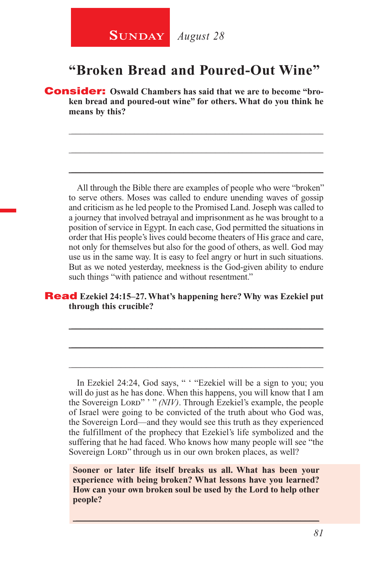### **SUNDAY** August 28

#### **"Broken Bread and Poured-Out Wine"**

\_\_\_\_\_\_\_\_\_\_\_\_\_\_\_\_\_\_\_\_\_\_\_\_\_\_\_\_\_\_\_\_\_\_\_\_\_\_\_\_\_\_\_\_\_\_\_\_\_\_\_\_\_\_\_\_

\_\_\_\_\_\_\_\_\_\_\_\_\_\_\_\_\_\_\_\_\_\_\_\_\_\_\_\_\_\_\_\_\_\_\_\_\_\_\_\_\_\_\_\_\_\_\_\_\_\_\_\_\_\_\_\_

\_\_\_\_\_\_\_\_\_\_\_\_\_\_\_\_\_\_\_\_\_\_\_\_\_\_\_\_\_\_\_\_\_\_\_\_\_\_\_\_\_\_\_\_\_\_\_\_\_\_\_\_\_\_\_\_

Consider: **Oswald Chambers has said that we are to become "broken bread and poured-out wine" for others. What do you think he means by this?**

All through the Bible there are examples of people who were "broken" to serve others. Moses was called to endure unending waves of gossip and criticism as he led people to the Promised Land. Joseph was called to a journey that involved betrayal and imprisonment as he was brought to a position of service in Egypt. In each case, God permitted the situations in order that His people's lives could become theaters of His grace and care, not only for themselves but also for the good of others, as well. God may use us in the same way. It is easy to feel angry or hurt in such situations. But as we noted yesterday, meekness is the God-given ability to endure such things "with patience and without resentment."

#### Read **Ezekiel 24:15–27. What's happening here? Why was Ezekiel put through this crucible?**

\_\_\_\_\_\_\_\_\_\_\_\_\_\_\_\_\_\_\_\_\_\_\_\_\_\_\_\_\_\_\_\_\_\_\_\_\_\_\_\_\_\_\_\_\_\_\_\_\_\_\_\_\_\_\_\_

\_\_\_\_\_\_\_\_\_\_\_\_\_\_\_\_\_\_\_\_\_\_\_\_\_\_\_\_\_\_\_\_\_\_\_\_\_\_\_\_\_\_\_\_\_\_\_\_\_\_\_\_\_\_\_\_

\_\_\_\_\_\_\_\_\_\_\_\_\_\_\_\_\_\_\_\_\_\_\_\_\_\_\_\_\_\_\_\_\_\_\_\_\_\_\_\_\_\_\_\_\_\_\_\_\_\_\_\_\_\_\_\_

In Ezekiel 24:24, God says, " ' "Ezekiel will be a sign to you; you will do just as he has done. When this happens, you will know that I am the Sovereign Lord" '" *(NIV)*. Through Ezekiel's example, the people of Israel were going to be convicted of the truth about who God was, the Sovereign Lord—and they would see this truth as they experienced the fulfillment of the prophecy that Ezekiel's life symbolized and the suffering that he had faced. Who knows how many people will see "the Sovereign Lord" through us in our own broken places, as well?

**Sooner or later life itself breaks us all. What has been your experience with being broken? What lessons have you learned? How can your own broken soul be used by the Lord to help other people?** 

 $\_$  , and the set of the set of the set of the set of the set of the set of the set of the set of the set of the set of the set of the set of the set of the set of the set of the set of the set of the set of the set of th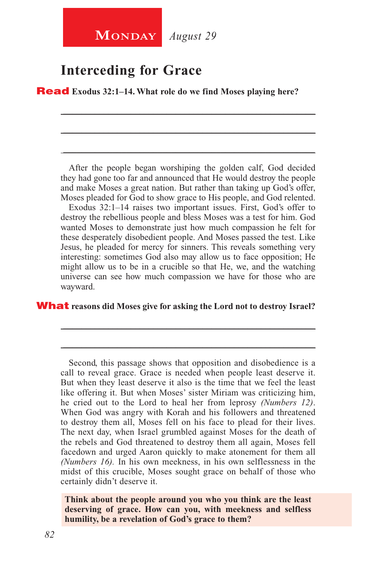### **Interceding for Grace**

Read **Exodus 32:1–14. What role do we find Moses playing here?** 

After the people began worshiping the golden calf, God decided they had gone too far and announced that He would destroy the people and make Moses a great nation. But rather than taking up God's offer, Moses pleaded for God to show grace to His people, and God relented.

\_\_\_\_\_\_\_\_\_\_\_\_\_\_\_\_\_\_\_\_\_\_\_\_\_\_\_\_\_\_\_\_\_\_\_\_\_\_\_\_\_\_\_\_\_\_\_\_\_\_\_\_\_\_\_\_

\_\_\_\_\_\_\_\_\_\_\_\_\_\_\_\_\_\_\_\_\_\_\_\_\_\_\_\_\_\_\_\_\_\_\_\_\_\_\_\_\_\_\_\_\_\_\_\_\_\_\_\_\_\_\_\_

\_\_\_\_\_\_\_\_\_\_\_\_\_\_\_\_\_\_\_\_\_\_\_\_\_\_\_\_\_\_\_\_\_\_\_\_\_\_\_\_\_\_\_\_\_\_\_\_\_\_\_\_\_\_\_\_

Exodus 32:1–14 raises two important issues. First, God's offer to destroy the rebellious people and bless Moses was a test for him. God wanted Moses to demonstrate just how much compassion he felt for these desperately disobedient people. And Moses passed the test. Like Jesus, he pleaded for mercy for sinners. This reveals something very interesting: sometimes God also may allow us to face opposition; He might allow us to be in a crucible so that He, we, and the watching universe can see how much compassion we have for those who are wayward.

\_\_\_\_\_\_\_\_\_\_\_\_\_\_\_\_\_\_\_\_\_\_\_\_\_\_\_\_\_\_\_\_\_\_\_\_\_\_\_\_\_\_\_\_\_\_\_\_\_\_\_\_\_\_\_\_

\_\_\_\_\_\_\_\_\_\_\_\_\_\_\_\_\_\_\_\_\_\_\_\_\_\_\_\_\_\_\_\_\_\_\_\_\_\_\_\_\_\_\_\_\_\_\_\_\_\_\_\_\_\_\_\_

What **reasons did Moses give for asking the Lord not to destroy Israel?** 

Second, this passage shows that opposition and disobedience is a call to reveal grace. Grace is needed when people least deserve it. But when they least deserve it also is the time that we feel the least like offering it. But when Moses' sister Miriam was criticizing him, he cried out to the Lord to heal her from leprosy *(Numbers 12)*. When God was angry with Korah and his followers and threatened to destroy them all, Moses fell on his face to plead for their lives. The next day, when Israel grumbled against Moses for the death of the rebels and God threatened to destroy them all again, Moses fell facedown and urged Aaron quickly to make atonement for them all *(Numbers 16).* In his own meekness, in his own selflessness in the midst of this crucible, Moses sought grace on behalf of those who certainly didn't deserve it.

**Think about the people around you who you think are the least deserving of grace. How can you, with meekness and selfless humility, be a revelation of God's grace to them?**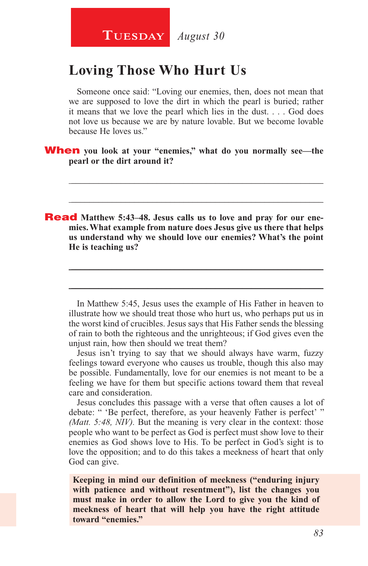### **Loving Those Who Hurt Us**

Someone once said: "Loving our enemies, then, does not mean that we are supposed to love the dirt in which the pearl is buried; rather it means that we love the pearl which lies in the dust. . . . God does not love us because we are by nature lovable. But we become lovable because He loves us."

\_\_\_\_\_\_\_\_\_\_\_\_\_\_\_\_\_\_\_\_\_\_\_\_\_\_\_\_\_\_\_\_\_\_\_\_\_\_\_\_\_\_\_\_\_\_\_\_\_\_\_\_\_\_\_\_

\_\_\_\_\_\_\_\_\_\_\_\_\_\_\_\_\_\_\_\_\_\_\_\_\_\_\_\_\_\_\_\_\_\_\_\_\_\_\_\_\_\_\_\_\_\_\_\_\_\_\_\_\_\_\_\_

When **you look at your "enemies," what do you normally see—the pearl or the dirt around it?** 

**Read** Matthew 5:43-48. Jesus calls us to love and pray for our ene**mies. What example from nature does Jesus give us there that helps us understand why we should love our enemies? What's the point He is teaching us?**

In Matthew 5:45, Jesus uses the example of His Father in heaven to illustrate how we should treat those who hurt us, who perhaps put us in the worst kind of crucibles. Jesus says that His Father sends the blessing of rain to both the righteous and the unrighteous; if God gives even the unjust rain, how then should we treat them?

\_\_\_\_\_\_\_\_\_\_\_\_\_\_\_\_\_\_\_\_\_\_\_\_\_\_\_\_\_\_\_\_\_\_\_\_\_\_\_\_\_\_\_\_\_\_\_\_\_\_\_\_\_\_\_\_

\_\_\_\_\_\_\_\_\_\_\_\_\_\_\_\_\_\_\_\_\_\_\_\_\_\_\_\_\_\_\_\_\_\_\_\_\_\_\_\_\_\_\_\_\_\_\_\_\_\_\_\_\_\_\_\_

Jesus isn't trying to say that we should always have warm, fuzzy feelings toward everyone who causes us trouble, though this also may be possible. Fundamentally, love for our enemies is not meant to be a feeling we have for them but specific actions toward them that reveal care and consideration.

Jesus concludes this passage with a verse that often causes a lot of debate: " 'Be perfect, therefore, as your heavenly Father is perfect' " *(Matt. 5:48, NIV).* But the meaning is very clear in the context: those people who want to be perfect as God is perfect must show love to their enemies as God shows love to His. To be perfect in God's sight is to love the opposition; and to do this takes a meekness of heart that only God can give.

**Keeping in mind our definition of meekness ("enduring injury with patience and without resentment"), list the changes you must make in order to allow the Lord to give you the kind of meekness of heart that will help you have the right attitude toward "enemies."**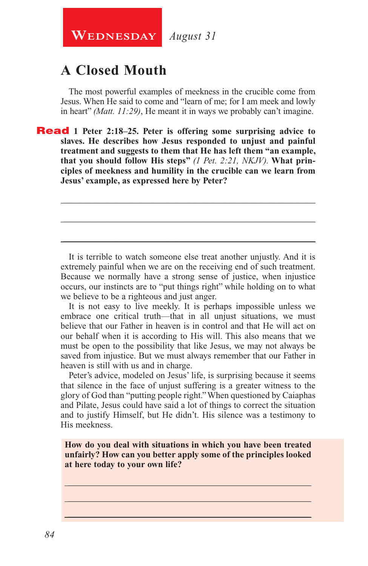**WEDNESDAY** August 31

## **A Closed Mouth**

The most powerful examples of meekness in the crucible come from Jesus. When He said to come and "learn of me; for I am meek and lowly in heart" *(Matt. 11:29)*, He meant it in ways we probably can't imagine.

Read **1 Peter 2:18–25. Peter is offering some surprising advice to slaves. He describes how Jesus responded to unjust and painful treatment and suggests to them that He has left them "an example, that you should follow His steps"** *(1 Pet. 2:21, NKJV).* **What principles of meekness and humility in the crucible can we learn from Jesus' example, as expressed here by Peter?**

It is terrible to watch someone else treat another unjustly. And it is extremely painful when we are on the receiving end of such treatment. Because we normally have a strong sense of justice, when injustice occurs, our instincts are to "put things right" while holding on to what we believe to be a righteous and just anger.

\_\_\_\_\_\_\_\_\_\_\_\_\_\_\_\_\_\_\_\_\_\_\_\_\_\_\_\_\_\_\_\_\_\_\_\_\_\_\_\_\_\_\_\_\_\_\_\_\_\_\_\_\_\_\_\_

\_\_\_\_\_\_\_\_\_\_\_\_\_\_\_\_\_\_\_\_\_\_\_\_\_\_\_\_\_\_\_\_\_\_\_\_\_\_\_\_\_\_\_\_\_\_\_\_\_\_\_\_\_\_\_\_

\_\_\_\_\_\_\_\_\_\_\_\_\_\_\_\_\_\_\_\_\_\_\_\_\_\_\_\_\_\_\_\_\_\_\_\_\_\_\_\_\_\_\_\_\_\_\_\_\_\_\_\_\_\_\_\_

It is not easy to live meekly. It is perhaps impossible unless we embrace one critical truth—that in all unjust situations, we must believe that our Father in heaven is in control and that He will act on our behalf when it is according to His will. This also means that we must be open to the possibility that like Jesus, we may not always be saved from injustice. But we must always remember that our Father in heaven is still with us and in charge.

Peter's advice, modeled on Jesus' life, is surprising because it seems that silence in the face of unjust suffering is a greater witness to the glory of God than "putting people right." When questioned by Caiaphas and Pilate, Jesus could have said a lot of things to correct the situation and to justify Himself, but He didn't. His silence was a testimony to His meekness.

**How do you deal with situations in which you have been treated unfairly? How can you better apply some of the principles looked at here today to your own life?**

\_\_\_\_\_\_\_\_\_\_\_\_\_\_\_\_\_\_\_\_\_\_\_\_\_\_\_\_\_\_\_\_\_\_\_\_\_\_\_\_\_\_\_\_\_\_\_\_\_\_\_\_\_\_ \_\_\_\_\_\_\_\_\_\_\_\_\_\_\_\_\_\_\_\_\_\_\_\_\_\_\_\_\_\_\_\_\_\_\_\_\_\_\_\_\_\_\_\_\_\_\_\_\_\_\_\_\_\_ \_\_\_\_\_\_\_\_\_\_\_\_\_\_\_\_\_\_\_\_\_\_\_\_\_\_\_\_\_\_\_\_\_\_\_\_\_\_\_\_\_\_\_\_\_\_\_\_\_\_\_\_\_\_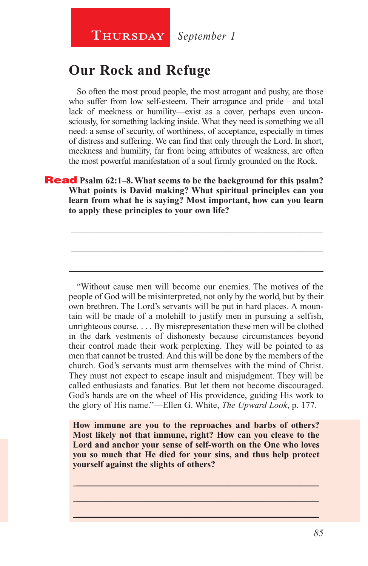## **Our Rock and Refuge**

So often the most proud people, the most arrogant and pushy, are those who suffer from low self-esteem. Their arrogance and pride—and total lack of meekness or humility—exist as a cover, perhaps even unconsciously, for something lacking inside. What they need is something we all need: a sense of security, of worthiness, of acceptance, especially in times of distress and suffering. We can find that only through the Lord. In short, meekness and humility, far from being attributes of weakness, are often the most powerful manifestation of a soul firmly grounded on the Rock.

#### **Read** Psalm 62:1–8. What seems to be the background for this psalm? **What points is David making? What spiritual principles can you learn from what he is saying? Most important, how can you learn to apply these principles to your own life?**

\_\_\_\_\_\_\_\_\_\_\_\_\_\_\_\_\_\_\_\_\_\_\_\_\_\_\_\_\_\_\_\_\_\_\_\_\_\_\_\_\_\_\_\_\_\_\_\_\_\_\_\_\_\_\_\_

\_\_\_\_\_\_\_\_\_\_\_\_\_\_\_\_\_\_\_\_\_\_\_\_\_\_\_\_\_\_\_\_\_\_\_\_\_\_\_\_\_\_\_\_\_\_\_\_\_\_\_\_\_\_\_\_

\_\_\_\_\_\_\_\_\_\_\_\_\_\_\_\_\_\_\_\_\_\_\_\_\_\_\_\_\_\_\_\_\_\_\_\_\_\_\_\_\_\_\_\_\_\_\_\_\_\_\_\_\_\_\_\_

"Without cause men will become our enemies. The motives of the people of God will be misinterpreted, not only by the world, but by their own brethren. The Lord's servants will be put in hard places. A mountain will be made of a molehill to justify men in pursuing a selfish, unrighteous course. . . . By misrepresentation these men will be clothed in the dark vestments of dishonesty because circumstances beyond their control made their work perplexing. They will be pointed to as men that cannot be trusted. And this will be done by the members of the church. God's servants must arm themselves with the mind of Christ. They must not expect to escape insult and misjudgment. They will be called enthusiasts and fanatics. But let them not become discouraged. God's hands are on the wheel of His providence, guiding His work to the glory of His name."—Ellen G. White, *The Upward Look*, p. 177.

**How immune are you to the reproaches and barbs of others? Most likely not that immune, right? How can you cleave to the Lord and anchor your sense of self-worth on the One who loves you so much that He died for your sins, and thus help protect yourself against the slights of others?**

 $\_$  , and the set of the set of the set of the set of the set of the set of the set of the set of the set of the set of the set of the set of the set of the set of the set of the set of the set of the set of the set of th \_\_\_\_\_\_\_\_\_\_\_\_\_\_\_\_\_\_\_\_\_\_\_\_\_\_\_\_\_\_\_\_\_\_\_\_\_\_\_\_\_\_\_\_\_\_\_\_\_\_\_\_\_\_ \_\_\_\_\_\_\_\_\_\_\_\_\_\_\_\_\_\_\_\_\_\_\_\_\_\_\_\_\_\_\_\_\_\_\_\_\_\_\_\_\_\_\_\_\_\_\_\_\_\_\_\_\_\_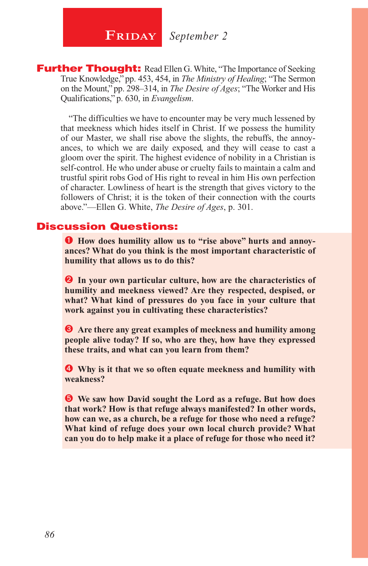**FRIDAY** September 2

**Further Thought:** Read Ellen G. White, "The Importance of Seeking True Knowledge," pp. 453, 454, in *The Ministry of Healing*; "The Sermon on the Mount," pp. 298–314, in *The Desire of Ages*; "The Worker and His Qualifications," p. 630, in *Evangelism*.

"The difficulties we have to encounter may be very much lessened by that meekness which hides itself in Christ. If we possess the humility of our Master, we shall rise above the slights, the rebuffs, the annoyances, to which we are daily exposed, and they will cease to cast a gloom over the spirit. The highest evidence of nobility in a Christian is self-control. He who under abuse or cruelty fails to maintain a calm and trustful spirit robs God of His right to reveal in him His own perfection of character. Lowliness of heart is the strength that gives victory to the followers of Christ; it is the token of their connection with the courts above."—Ellen G. White, *The Desire of Ages*, p. 301.

#### Discussion Questions:

**O** How does humility allow us to "rise above" hurts and annoy**ances? What do you think is the most important characteristic of humility that allows us to do this?**

**2** In your own particular culture, how are the characteristics of **humility and meekness viewed? Are they respected, despised, or what? What kind of pressures do you face in your culture that work against you in cultivating these characteristics?**

 **Are there any great examples of meekness and humility among people alive today? If so, who are they, how have they expressed these traits, and what can you learn from them?** 

 **Why is it that we so often equate meekness and humility with weakness?**

 **We saw how David sought the Lord as a refuge. But how does that work? How is that refuge always manifested? In other words, how can we, as a church, be a refuge for those who need a refuge? What kind of refuge does your own local church provide? What can you do to help make it a place of refuge for those who need it?**